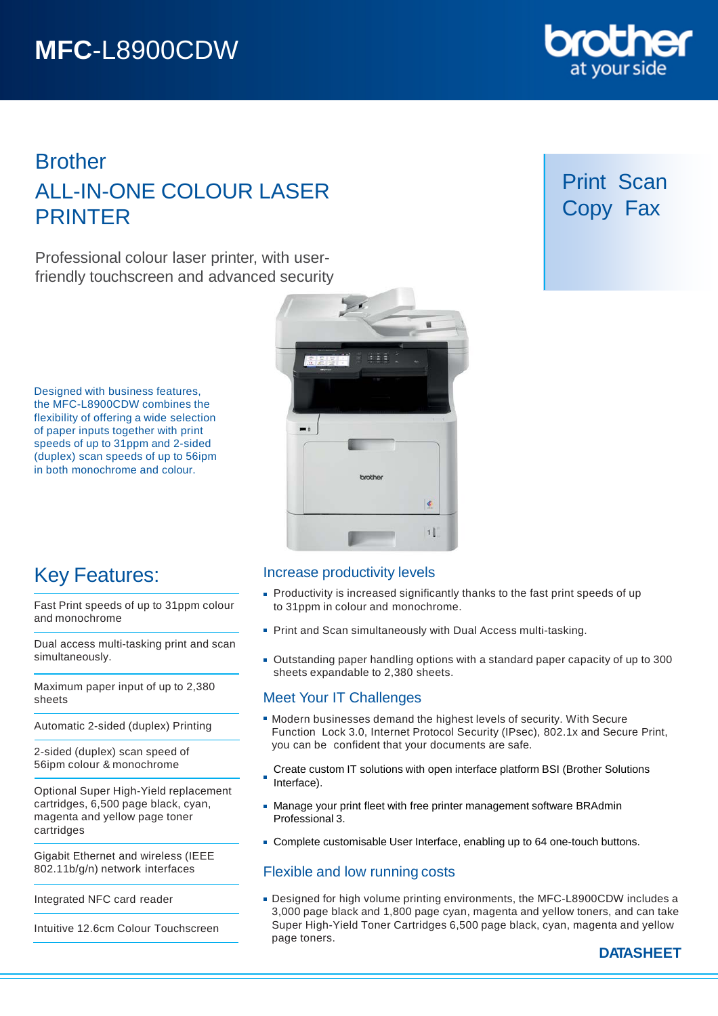# **MFC**-L8900CDW

# Brother ALL-IN-ONE COLOUR LASER PRINTER

Professional colour laser printer, with userfriendly touchscreen and advanced security

Designed with business features, the MFC-L8900CDW combines the flexibility of offering a wide selection of paper inputs together with print speeds of up to 31ppm and 2-sided (duplex) scan speeds of up to 56ipm in both monochrome and colour.



# Key Features:

Fast Print speeds of up to 31ppm colour and monochrome

Dual access multi-tasking print and scan simultaneously.

Maximum paper input of up to 2,380 sheets

Automatic 2-sided (duplex) Printing

2-sided (duplex) scan speed of 56ipm colour & monochrome

Optional Super High-Yield replacement cartridges, 6,500 page black, cyan, magenta and yellow page toner cartridges

Gigabit Ethernet and wireless (IEEE 802.11b/g/n) network interfaces

Integrated NFC card reader

Intuitive 12.6cm Colour Touchscreen

### Increase productivity levels

- **Productivity is increased significantly thanks to the fast print speeds of up** to 31ppm in colour and monochrome.
- **Print and Scan simultaneously with Dual Access multi-tasking.**
- Outstanding paper handling options with a standard paper capacity of up to 300 sheets expandable to 2,380 sheets.

### Meet Your IT Challenges

- Modern businesses demand the highest levels of security. With Secure Function Lock 3.0, Internet Protocol Security (IPsec), 802.1x and Secure Print, you can be confident that your documents are safe.
- Create custom IT solutions with open interface platform BSI (Brother Solutions Interface).
- Manage your print fleet with free printer management software BRAdmin Professional 3.
- Complete customisable User Interface, enabling up to 64 one-touch buttons.

### Flexible and low running costs

Designed for high volume printing environments, the MFC-L8900CDW includes a 3,000 page black and 1,800 page cyan, magenta and yellow toners, and can take Super High-Yield Toner Cartridges 6,500 page black, cyan, magenta and yellow page toners.



DC

# Print Scan Copy Fax

**DATASHEET**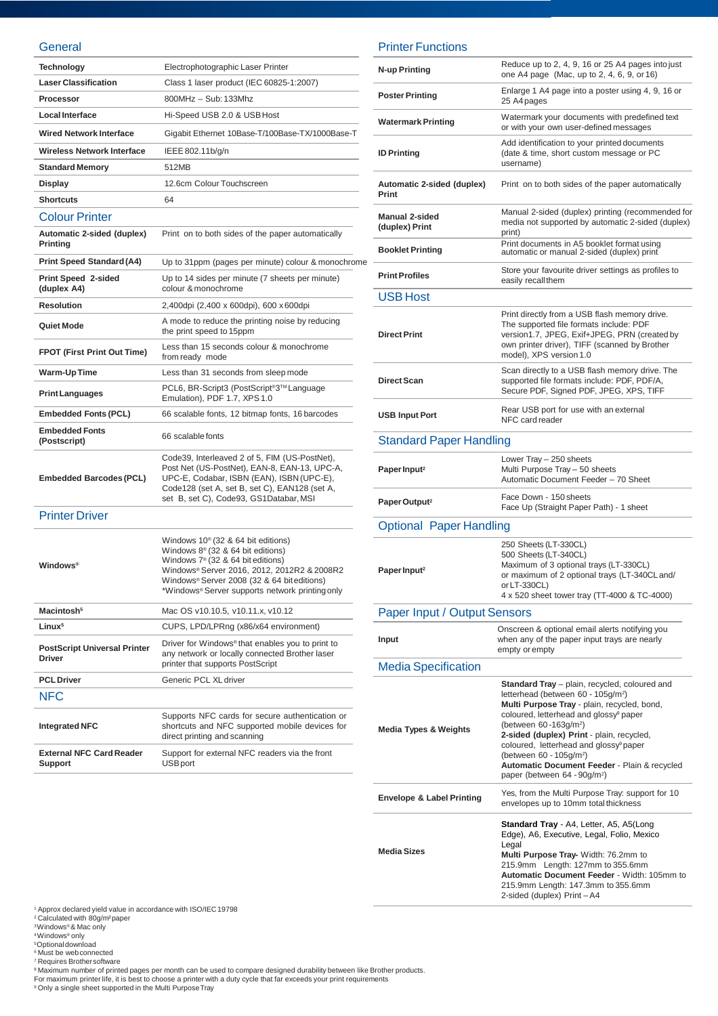#### **General**

| Technology                                           | Electrophotographic Laser Printer                                                                                                                                                                                                                                                        |
|------------------------------------------------------|------------------------------------------------------------------------------------------------------------------------------------------------------------------------------------------------------------------------------------------------------------------------------------------|
| <b>Laser Classification</b>                          | Class 1 laser product (IEC 60825-1:2007)                                                                                                                                                                                                                                                 |
| Processor                                            | 800MHz - Sub: 133Mhz                                                                                                                                                                                                                                                                     |
| <b>Local Interface</b>                               | Hi-Speed USB 2.0 & USB Host                                                                                                                                                                                                                                                              |
| <b>Wired Network Interface</b>                       | Gigabit Ethernet 10Base-T/100Base-TX/1000Base-T                                                                                                                                                                                                                                          |
| Wireless Network Interface                           | IEEE 802.11b/g/n                                                                                                                                                                                                                                                                         |
| <b>Standard Memory</b>                               | 512MB                                                                                                                                                                                                                                                                                    |
| Display                                              | 12.6cm Colour Touchscreen                                                                                                                                                                                                                                                                |
| <b>Shortcuts</b>                                     | 64                                                                                                                                                                                                                                                                                       |
| <b>Colour Printer</b>                                |                                                                                                                                                                                                                                                                                          |
| Automatic 2-sided (duplex)<br>Printing               | Print on to both sides of the paper automatically                                                                                                                                                                                                                                        |
| <b>Print Speed Standard (A4)</b>                     | Up to 31ppm (pages per minute) colour & monochrome                                                                                                                                                                                                                                       |
| Print Speed 2-sided<br>(duplex A4)                   | Up to 14 sides per minute (7 sheets per minute)<br>colour & monochrome                                                                                                                                                                                                                   |
| <b>Resolution</b>                                    | 2,400dpi (2,400 x 600dpi), 600 x 600dpi                                                                                                                                                                                                                                                  |
| Quiet Mode                                           | A mode to reduce the printing noise by reducing<br>the print speed to 15ppm                                                                                                                                                                                                              |
| <b>FPOT (First Print Out Time)</b>                   | Less than 15 seconds colour & monochrome<br>from ready mode                                                                                                                                                                                                                              |
| Warm-Up Time                                         | Less than 31 seconds from sleep mode                                                                                                                                                                                                                                                     |
| <b>Print Languages</b>                               | PCL6, BR-Script3 (PostScript <sup>®</sup> 3™ Language<br>Emulation), PDF 1.7, XPS 1.0                                                                                                                                                                                                    |
| <b>Embedded Fonts (PCL)</b>                          | 66 scalable fonts, 12 bitmap fonts, 16 barcodes                                                                                                                                                                                                                                          |
| <b>Embedded Fonts</b><br>(Postscript)                | 66 scalable fonts                                                                                                                                                                                                                                                                        |
| <b>Embedded Barcodes (PCL)</b>                       | Code39, Interleaved 2 of 5, FIM (US-PostNet),<br>Post Net (US-PostNet), EAN-8, EAN-13, UPC-A,<br>UPC-E, Codabar, ISBN (EAN), ISBN (UPC-E),<br>Code128 (set A, set B, set C), EAN128 (set A,<br>set B, set C), Code93, GS1Databar, MSI                                                    |
| <b>Printer Driver</b>                                |                                                                                                                                                                                                                                                                                          |
| <b>Windows</b> <sup>®</sup>                          | Windows $10^{\circ}$ (32 & 64 bit editions)<br>Windows $8^{\circ}$ (32 & 64 bit editions)<br>Windows $7^{\circ}$ (32 & 64 bit editions)<br>Windows® Server 2016, 2012, 2012R2 & 2008R2<br>Windows® Server 2008 (32 & 64 bit editions)<br>*Windows® Server supports network printing only |
| Macintosh <sup>5</sup>                               | Mac OS v10.10.5, v10.11.x, v10.12                                                                                                                                                                                                                                                        |
| Linux <sup>5</sup>                                   | CUPS, LPD/LPRng (x86/x64 environment)                                                                                                                                                                                                                                                    |
| <b>PostScript Universal Printer</b><br><b>Driver</b> | Driver for Windows <sup>®</sup> that enables you to print to<br>any network or locally connected Brother laser<br>printer that supports PostScript                                                                                                                                       |
| <b>PCL Driver</b>                                    | Generic PCL XL driver                                                                                                                                                                                                                                                                    |
| <b>NFC</b>                                           |                                                                                                                                                                                                                                                                                          |
| <b>Integrated NFC</b>                                | Supports NFC cards for secure authentication or<br>shortcuts and NFC supported mobile devices for<br>direct printing and scanning                                                                                                                                                        |
| <b>External NFC Card Reader</b><br>Support           | Support for external NFC readers via the front<br><b>USB</b> port                                                                                                                                                                                                                        |

#### Printer Functions

| N-up Printing                           | Reduce up to 2, 4, 9, 16 or 25 A4 pages into just<br>one A4 page (Mac, up to 2, 4, 6, 9, or 16)                                                                                                                                                                                                                                                                                                                                                                                 |
|-----------------------------------------|---------------------------------------------------------------------------------------------------------------------------------------------------------------------------------------------------------------------------------------------------------------------------------------------------------------------------------------------------------------------------------------------------------------------------------------------------------------------------------|
| <b>Poster Printing</b>                  | Enlarge 1 A4 page into a poster using 4, 9, 16 or<br>25 A4 pages                                                                                                                                                                                                                                                                                                                                                                                                                |
| <b>Watermark Printing</b>               | Watermark your documents with predefined text<br>or with your own user-defined messages                                                                                                                                                                                                                                                                                                                                                                                         |
| <b>ID Printing</b>                      | Add identification to your printed documents<br>(date & time, short custom message or PC<br>username)                                                                                                                                                                                                                                                                                                                                                                           |
| Automatic 2-sided (duplex)<br>Print     | Print on to both sides of the paper automatically                                                                                                                                                                                                                                                                                                                                                                                                                               |
| <b>Manual 2-sided</b><br>(duplex) Print | Manual 2-sided (duplex) printing (recommended for<br>media not supported by automatic 2-sided (duplex)<br>print)                                                                                                                                                                                                                                                                                                                                                                |
| <b>Booklet Printing</b>                 | Print documents in A5 booklet format using<br>automatic or manual 2-sided (duplex) print                                                                                                                                                                                                                                                                                                                                                                                        |
| <b>Print Profiles</b>                   | Store your favourite driver settings as profiles to<br>easily recall them                                                                                                                                                                                                                                                                                                                                                                                                       |
| USB Host                                |                                                                                                                                                                                                                                                                                                                                                                                                                                                                                 |
| <b>Direct Print</b>                     | Print directly from a USB flash memory drive.<br>The supported file formats include: PDF<br>version1.7, JPEG, Exif+JPEG, PRN (created by<br>own printer driver), TIFF (scanned by Brother<br>model), XPS version 1.0                                                                                                                                                                                                                                                            |
| <b>Direct Scan</b>                      | Scan directly to a USB flash memory drive. The<br>supported file formats include: PDF, PDF/A,<br>Secure PDF, Signed PDF, JPEG, XPS, TIFF                                                                                                                                                                                                                                                                                                                                        |
| <b>USB Input Port</b>                   | Rear USB port for use with an external<br>NFC card reader                                                                                                                                                                                                                                                                                                                                                                                                                       |
| <b>Standard Paper Handling</b>          |                                                                                                                                                                                                                                                                                                                                                                                                                                                                                 |
| Paper Input <sup>2</sup>                | Lower Tray - 250 sheets<br>Multi Purpose Tray - 50 sheets<br>Automatic Document Feeder - 70 Sheet                                                                                                                                                                                                                                                                                                                                                                               |
| Paper Output <sup>2</sup>               | Face Down - 150 sheets<br>Face Up (Straight Paper Path) - 1 sheet                                                                                                                                                                                                                                                                                                                                                                                                               |
| <b>Optional Paper Handling</b>          |                                                                                                                                                                                                                                                                                                                                                                                                                                                                                 |
| Paper Input <sup>2</sup>                | 250 Sheets (LT-330CL)<br>500 Sheets (LT-340CL)<br>Maximum of 3 optional trays (LT-330CL)<br>or maximum of 2 optional trays (LT-340CL and/<br>or LT-330CL)<br>4 x 520 sheet tower tray (TT-4000 & TC-4000)                                                                                                                                                                                                                                                                       |
| Paper Input / Output Sensors            |                                                                                                                                                                                                                                                                                                                                                                                                                                                                                 |
| Input                                   | Onscreen & optional email alerts notifying you<br>when any of the paper input trays are nearly<br>empty or empty                                                                                                                                                                                                                                                                                                                                                                |
| <b>Media Specification</b>              |                                                                                                                                                                                                                                                                                                                                                                                                                                                                                 |
| <b>Media Types &amp; Weights</b>        | Standard Tray - plain, recycled, coloured and<br>letterhead (between 60 - 105g/m <sup>2</sup> )<br>Multi Purpose Tray - plain, recycled, bond,<br>coloured, letterhead and glossy <sup>®</sup> paper<br>(between 60-163g/m <sup>2</sup> )<br>2-sided (duplex) Print - plain, recycled,<br>coloured, letterhead and glossy <sup>9</sup> paper<br>(between 60 - 105g/m <sup>2</sup> )<br>Automatic Document Feeder - Plain & recycled<br>paper (between 64 - 90g/m <sup>2</sup> ) |
| <b>Envelope &amp; Label Printing</b>    | Yes, from the Multi Purpose Tray: support for 10<br>envelopes up to 10mm total thickness                                                                                                                                                                                                                                                                                                                                                                                        |
| <b>Media Sizes</b>                      | <b>Standard Tray - A4, Letter, A5, A5(Long</b><br>Edge), A6, Executive, Legal, Folio, Mexico<br>Legal<br>Multi Purpose Tray- Width: 76.2mm to<br>215.9mm Length: 127mm to 355.6mm<br>Automatic Document Feeder - Width: 105mm to<br>215.9mm Length: 147.3mm to 355.6mm<br>2-sided (duplex) Print-A4                                                                                                                                                                             |

<sup>1</sup> Approx declared yield value in accordance with ISO/IEC 19798<br><sup>3</sup>Calculated with 80g/m<sup>2</sup>paper<br><sup>3</sup>Windows® & Mac only<br><sup>8</sup>Obtional download<br><sup>6</sup> Must be web connected<br><sup>8</sup> Maximum number of printed pages per month can be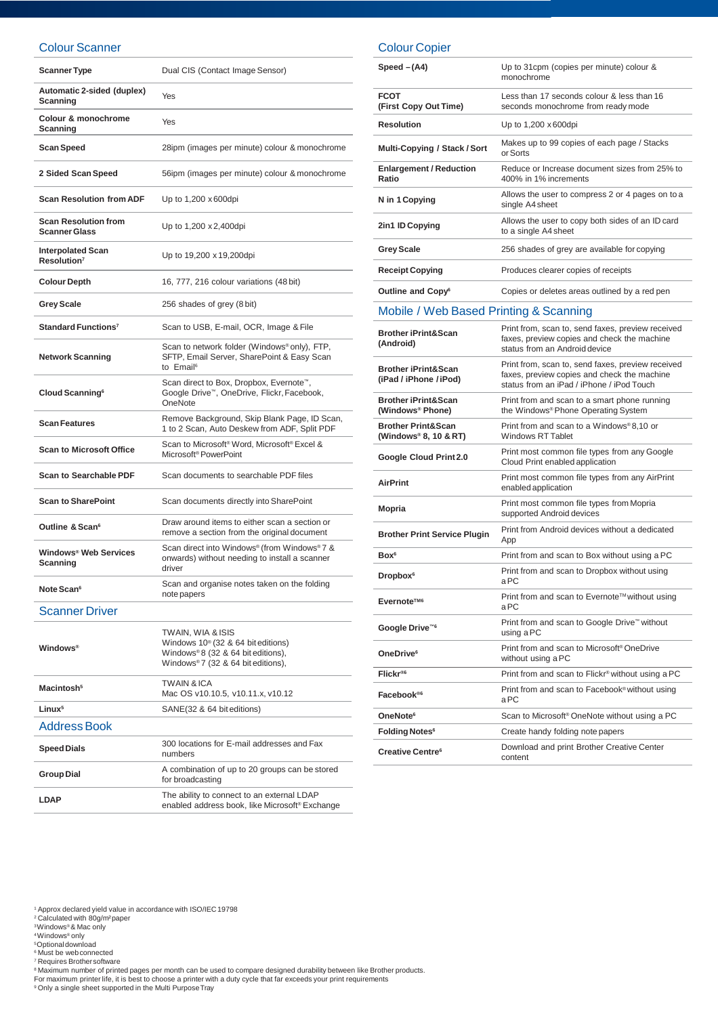#### Colour Scanner

| <b>Scanner Type</b>                                 | Dual CIS (Contact Image Sensor)                                                                                                               |
|-----------------------------------------------------|-----------------------------------------------------------------------------------------------------------------------------------------------|
| Automatic 2-sided (duplex)<br>Scanning              | Yes                                                                                                                                           |
| Colour & monochrome<br>Scanning                     | Yes                                                                                                                                           |
| Scan Speed                                          | 28ipm (images per minute) colour & monochrome                                                                                                 |
| 2 Sided Scan Speed                                  | 56ipm (images per minute) colour & monochrome                                                                                                 |
| <b>Scan Resolution from ADF</b>                     | Up to 1,200 x 600dpi                                                                                                                          |
| <b>Scan Resolution from</b><br><b>Scanner Glass</b> | Up to 1,200 x 2,400 dpi                                                                                                                       |
| <b>Interpolated Scan</b><br>Resolution <sup>7</sup> | Up to 19,200 x 19,200dpi                                                                                                                      |
| <b>Colour Depth</b>                                 | 16, 777, 216 colour variations (48 bit)                                                                                                       |
| <b>Grey Scale</b>                                   | 256 shades of grey (8 bit)                                                                                                                    |
| Standard Functions <sup>7</sup>                     | Scan to USB, E-mail, OCR, Image & File                                                                                                        |
| <b>Network Scanning</b>                             | Scan to network folder (Windows®only), FTP,<br>SFTP, Email Server, SharePoint & Easy Scan<br>to Email <sup>6</sup>                            |
| Cloud Scanning <sup>6</sup>                         | Scan direct to Box, Dropbox, Evernote <sup>™</sup> ,<br>Google Drive™, OneDrive, Flickr, Facebook,<br>OneNote                                 |
| <b>Scan Features</b>                                | Remove Background, Skip Blank Page, ID Scan,<br>1 to 2 Scan, Auto Deskew from ADF, Split PDF                                                  |
| <b>Scan to Microsoft Office</b>                     | Scan to Microsoft <sup>®</sup> Word, Microsoft® Excel &<br>Microsoft <sup>®</sup> PowerPoint                                                  |
| <b>Scan to Searchable PDF</b>                       | Scan documents to searchable PDF files                                                                                                        |
| <b>Scan to SharePoint</b>                           | Scan documents directly into SharePoint                                                                                                       |
| Outline & Scan <sup>6</sup>                         | Draw around items to either scan a section or<br>remove a section from the original document                                                  |
| Windows® Web Services<br>Scanning                   | Scan direct into Windows® (from Windows®7 &<br>onwards) without needing to install a scanner<br>driver                                        |
| Note Scan <sup>6</sup>                              | Scan and organise notes taken on the folding<br>note papers                                                                                   |
| <b>Scanner Driver</b>                               |                                                                                                                                               |
| <b>Windows®</b>                                     | TWAIN, WIA & ISIS<br>Windows 10 <sup>®</sup> (32 & 64 bit editions)<br>Windows®8 (32 & 64 bit editions),<br>Windows®7 (32 & 64 bit editions), |
| Macintosh <sup>5</sup>                              | TWAIN & ICA<br>Mac OS v10.10.5, v10.11.x, v10.12                                                                                              |
| Linux <sup>5</sup>                                  | SANE(32 & 64 bit editions)                                                                                                                    |
| <b>Address Book</b>                                 |                                                                                                                                               |

Colour Copier

| Speed $-(A4)$                                            | Up to 31cpm (copies per minute) colour &<br>monochrome                                                                                        |
|----------------------------------------------------------|-----------------------------------------------------------------------------------------------------------------------------------------------|
| <b>FCOT</b><br>(First Copy Out Time)                     | Less than 17 seconds colour & less than 16<br>seconds monochrome from ready mode                                                              |
| <b>Resolution</b>                                        | Up to 1,200 x 600dpi                                                                                                                          |
| Multi-Copying / Stack / Sort                             | Makes up to 99 copies of each page / Stacks<br>or Sorts                                                                                       |
| <b>Enlargement / Reduction</b><br>Ratio                  | Reduce or Increase document sizes from 25% to<br>400% in 1% increments                                                                        |
| N in 1 Copying                                           | Allows the user to compress 2 or 4 pages on to a<br>single A4 sheet                                                                           |
| 2in1 ID Copying                                          | Allows the user to copy both sides of an ID card<br>to a single A4 sheet                                                                      |
| <b>Grey Scale</b>                                        | 256 shades of grey are available for copying                                                                                                  |
| <b>Receipt Copying</b>                                   | Produces clearer copies of receipts                                                                                                           |
| Outline and Copy <sup>6</sup>                            | Copies or deletes areas outlined by a red pen                                                                                                 |
| Mobile / Web Based Printing & Scanning                   |                                                                                                                                               |
| <b>Brother iPrint&amp;Scan</b><br>(Android)              | Print from, scan to, send faxes, preview received<br>faxes, preview copies and check the machine<br>status from an Android device             |
| <b>Brother iPrint&amp;Scan</b><br>(iPad / iPhone / iPod) | Print from, scan to, send faxes, preview received<br>faxes, preview copies and check the machine<br>status from an iPad / iPhone / iPod Touch |
| <b>Brother iPrint&amp;Scan</b><br>(Windows® Phone)       | Print from and scan to a smart phone running<br>the Windows® Phone Operating System                                                           |
| <b>Brother Print&amp;Scan</b><br>(Windows® 8, 10 & RT)   | Print from and scan to a Windows®8,10 or<br><b>Windows RT Tablet</b>                                                                          |
| Google Cloud Print 2.0                                   | Print most common file types from any Google<br>Cloud Print enabled application                                                               |
| <b>AirPrint</b>                                          | Print most common file types from any AirPrint<br>enabled application                                                                         |
| Mopria                                                   | Print most common file types from Mopria<br>supported Android devices                                                                         |
| <b>Brother Print Service Plugin</b>                      | Print from Android devices without a dedicated<br>App                                                                                         |
| Box <sup>6</sup>                                         | Print from and scan to Box without using a PC                                                                                                 |
| Dropbox <sup>6</sup>                                     | Print from and scan to Dropbox without using<br>аPC                                                                                           |
| Evernote™ <sup>6</sup>                                   | Print from and scan to Evernote™without using<br>aPC                                                                                          |
| Google Drive <sup>™6</sup>                               | Print from and scan to Google Drive™ without<br>using a PC                                                                                    |
| OneDrive <sup>6</sup>                                    | Print from and scan to Microsoft <sup>®</sup> OneDrive<br>without using a PC                                                                  |
| Flickr®6                                                 | Print from and scan to Flickr® without using a PC                                                                                             |
| Facebook <sup>®6</sup>                                   | Print from and scan to Facebook® without using<br>aPC                                                                                         |
| OneNote <sup>6</sup>                                     | Scan to Microsoft <sup>®</sup> OneNote without using a PC                                                                                     |
| Folding Notes <sup>6</sup>                               | Create handy folding note papers                                                                                                              |
| Creative Centre <sup>6</sup>                             | Download and print Brother Creative Center<br>content                                                                                         |

' Approx declared yield value in accordance with ISO/IEC 19798<br>? Calculated with 80g/m²paper<br>ᢀWindows® & Mac only<br>♦Windows® only

<sup>5</sup>Optional download<br><sup>6</sup> Must be web connected

' Requires Brothersoftware<br>® Maximum number of printed pages per month can be used to compare designed durability between like Brother products.<br>For maximum printer life, it is best to choose a printer with a duty cycle

enabled address book, like Microsoft® Exchange

**Speed Dials** 300 locations for E-mail addresses and Fax numbers **Group Dial** A combination of up to 20 groups can be stored for broadcasting **LDAP** The ability to connect to an external LDAP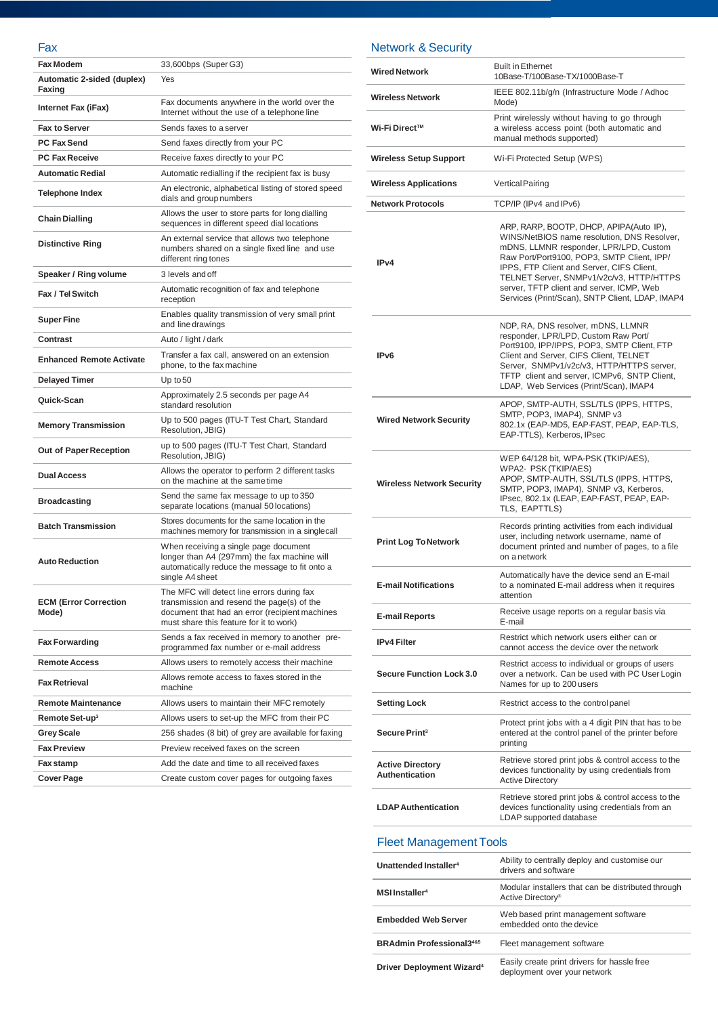## Fax

| י גו                                  |                                                                                                                                                                                       |
|---------------------------------------|---------------------------------------------------------------------------------------------------------------------------------------------------------------------------------------|
| <b>Fax Modem</b>                      | 33,600bps (Super G3)                                                                                                                                                                  |
| Automatic 2-sided (duplex)<br>Faxing  | Yes                                                                                                                                                                                   |
| Internet Fax (iFax)                   | Fax documents anywhere in the world over the<br>Internet without the use of a telephone line                                                                                          |
| <b>Fax to Server</b>                  | Sends faxes to a server                                                                                                                                                               |
| <b>PC Fax Send</b>                    | Send faxes directly from your PC                                                                                                                                                      |
| <b>PC Fax Receive</b>                 | Receive faxes directly to your PC                                                                                                                                                     |
| <b>Automatic Redial</b>               | Automatic redialling if the recipient fax is busy                                                                                                                                     |
| <b>Telephone Index</b>                | An electronic, alphabetical listing of stored speed<br>dials and group numbers                                                                                                        |
| <b>Chain Dialling</b>                 | Allows the user to store parts for long dialling<br>sequences in different speed dial locations                                                                                       |
| <b>Distinctive Ring</b>               | An external service that allows two telephone<br>numbers shared on a single fixed line and use<br>different ring tones                                                                |
| Speaker / Ring volume                 | 3 levels and off                                                                                                                                                                      |
| Fax / Tel Switch                      | Automatic recognition of fax and telephone<br>reception                                                                                                                               |
| <b>Super Fine</b>                     | Enables quality transmission of very small print<br>and line drawings                                                                                                                 |
| Contrast                              | Auto / light / dark                                                                                                                                                                   |
| <b>Enhanced Remote Activate</b>       | Transfer a fax call, answered on an extension<br>phone, to the fax machine                                                                                                            |
| <b>Delayed Timer</b>                  | Up to $50$                                                                                                                                                                            |
| Quick-Scan                            | Approximately 2.5 seconds per page A4<br>standard resolution                                                                                                                          |
| <b>Memory Transmission</b>            | Up to 500 pages (ITU-T Test Chart, Standard<br>Resolution, JBIG)                                                                                                                      |
| Out of Paper Reception                | up to 500 pages (ITU-T Test Chart, Standard<br>Resolution, JBIG)                                                                                                                      |
| <b>Dual Access</b>                    | Allows the operator to perform 2 different tasks<br>on the machine at the same time                                                                                                   |
| <b>Broadcasting</b>                   | Send the same fax message to up to 350<br>separate locations (manual 50 locations)                                                                                                    |
| <b>Batch Transmission</b>             | Stores documents for the same location in the<br>machines memory for transmission in a singlecall                                                                                     |
| <b>Auto Reduction</b>                 | When receiving a single page document<br>longer than A4 (297mm) the fax machine will<br>automatically reduce the message to fit onto a<br>single A4 sheet                             |
| <b>ECM (Error Correction</b><br>Mode) | The MFC will detect line errors during fax<br>transmission and resend the page(s) of the<br>document that had an error (recipient machines<br>must share this feature for it to work) |
| <b>Fax Forwarding</b>                 | Sends a fax received in memory to another pre-<br>programmed fax number or e-mail address                                                                                             |
| <b>Remote Access</b>                  | Allows users to remotely access their machine                                                                                                                                         |
| <b>Fax Retrieval</b>                  | Allows remote access to faxes stored in the<br>machine                                                                                                                                |
| <b>Remote Maintenance</b>             | Allows users to maintain their MFC remotely                                                                                                                                           |
| Remote Set-up <sup>3</sup>            | Allows users to set-up the MFC from their PC                                                                                                                                          |
| <b>Grey Scale</b>                     | 256 shades (8 bit) of grey are available for faxing                                                                                                                                   |
| <b>Fax Preview</b>                    | Preview received faxes on the screen                                                                                                                                                  |
| Fax stamp                             | Add the date and time to all received faxes                                                                                                                                           |
| <b>Cover Page</b>                     | Create custom cover pages for outgoing faxes                                                                                                                                          |

### Network & Security

| <b>Wired Network</b>                             | <b>Built in Ethernet</b><br>10Base-T/100Base-TX/1000Base-T                                                                                                                                                                                                                                                                                                              |
|--------------------------------------------------|-------------------------------------------------------------------------------------------------------------------------------------------------------------------------------------------------------------------------------------------------------------------------------------------------------------------------------------------------------------------------|
| <b>Wireless Network</b>                          | IEEE 802.11b/g/n (Infrastructure Mode / Adhoc<br>Mode)                                                                                                                                                                                                                                                                                                                  |
| Wi-Fi Direct™                                    | Print wirelessly without having to go through<br>a wireless access point (both automatic and<br>manual methods supported)                                                                                                                                                                                                                                               |
| <b>Wireless Setup Support</b>                    | Wi-Fi Protected Setup (WPS)                                                                                                                                                                                                                                                                                                                                             |
| <b>Wireless Applications</b>                     | Vertical Pairing                                                                                                                                                                                                                                                                                                                                                        |
| <b>Network Protocols</b>                         | TCP/IP (IPv4 and IPv6)                                                                                                                                                                                                                                                                                                                                                  |
| IP <sub>v4</sub>                                 | ARP, RARP, BOOTP, DHCP, APIPA(Auto IP),<br>WINS/NetBIOS name resolution, DNS Resolver,<br>mDNS, LLMNR responder, LPR/LPD, Custom<br>Raw Port/Port9100, POP3, SMTP Client, IPP/<br>IPPS, FTP Client and Server, CIFS Client,<br>TELNET Server, SNMPv1/v2c/v3, HTTP/HTTPS<br>server, TFTP client and server, ICMP, Web<br>Services (Print/Scan), SNTP Client, LDAP, IMAP4 |
| IP <sub>v6</sub>                                 | NDP, RA, DNS resolver, mDNS, LLMNR<br>responder, LPR/LPD, Custom Raw Port/<br>Port9100, IPP/IPPS, POP3, SMTP Client, FTP<br>Client and Server, CIFS Client, TELNET<br>Server, SNMPv1/v2c/v3, HTTP/HTTPS server,<br>TFTP client and server, ICMPv6, SNTP Client,<br>LDAP, Web Services (Print/Scan), IMAP4                                                               |
| <b>Wired Network Security</b>                    | APOP, SMTP-AUTH, SSL/TLS (IPPS, HTTPS,<br>SMTP, POP3, IMAP4), SNMP v3<br>802.1x (EAP-MD5, EAP-FAST, PEAP, EAP-TLS,<br>EAP-TTLS), Kerberos, IPsec                                                                                                                                                                                                                        |
| <b>Wireless Network Security</b>                 | WEP 64/128 bit, WPA-PSK (TKIP/AES),<br>WPA2- PSK (TKIP/AES)<br>APOP, SMTP-AUTH, SSL/TLS (IPPS, HTTPS,<br>SMTP, POP3, IMAP4), SNMP v3, Kerberos,<br>IPsec, 802.1x (LEAP, EAP-FAST, PEAP, EAP-<br>TLS, EAPTTLS)                                                                                                                                                           |
| <b>Print Log To Network</b>                      | Records printing activities from each individual<br>user, including network username, name of<br>document printed and number of pages, to a file<br>on a network                                                                                                                                                                                                        |
| <b>E-mail Notifications</b>                      | Automatically have the device send an E-mail<br>to a nominated E-mail address when it requires<br>attention                                                                                                                                                                                                                                                             |
| E-mail Reports                                   | Receive usage reports on a regular basis via<br>E-mail                                                                                                                                                                                                                                                                                                                  |
| <b>IPv4 Filter</b>                               | Restrict which network users either can or<br>cannot access the device over the network                                                                                                                                                                                                                                                                                 |
| <b>Secure Function Lock 3.0</b>                  | Restrict access to individual or groups of users<br>over a network. Can be used with PC User Login<br>Names for up to 200 users                                                                                                                                                                                                                                         |
| <b>Setting Lock</b>                              | Restrict access to the control panel                                                                                                                                                                                                                                                                                                                                    |
| Secure Print <sup>3</sup>                        | Protect print jobs with a 4 digit PIN that has to be<br>entered at the control panel of the printer before<br>printing                                                                                                                                                                                                                                                  |
| <b>Active Directory</b><br><b>Authentication</b> | Retrieve stored print jobs & control access to the<br>devices functionality by using credentials from<br><b>Active Directory</b>                                                                                                                                                                                                                                        |
| <b>LDAP Authentication</b>                       | Retrieve stored print jobs & control access to the<br>devices functionality using credentials from an<br>LDAP supported database                                                                                                                                                                                                                                        |

#### Fleet Management Tools

| Unattended Installer <sup>4</sup>           | Ability to centrally deploy and customise our<br>drivers and software               |
|---------------------------------------------|-------------------------------------------------------------------------------------|
| <b>MSI</b> Installer <sup>4</sup>           | Modular installers that can be distributed through<br>Active Directory <sup>®</sup> |
| <b>Embedded Web Server</b>                  | Web based print management software<br>embedded onto the device                     |
| <b>BRAdmin Professional3485</b>             | Fleet management software                                                           |
| <b>Driver Deployment Wizard<sup>4</sup></b> | Easily create print drivers for hassle free<br>deployment over your network         |